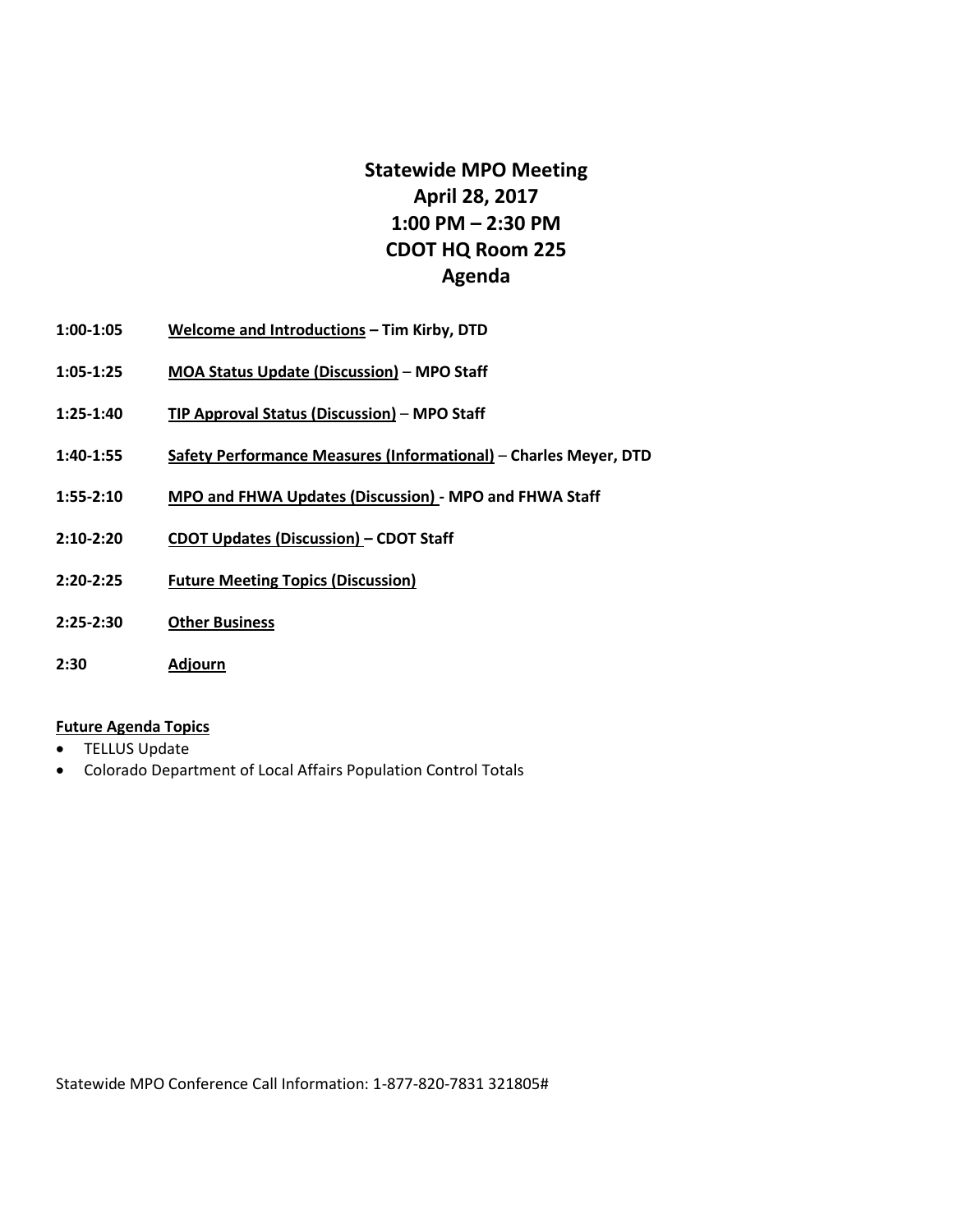# **Statewide MPO Meeting April 28, 2017 1:00 PM – 2:30 PM CDOT HQ Room 225 Agenda**

- **1:00-1:05 Welcome and Introductions – Tim Kirby, DTD**
- **1:05-1:25 MOA Status Update (Discussion) MPO Staff**
- **1:25-1:40 TIP Approval Status (Discussion) MPO Staff**
- **1:40-1:55 Safety Performance Measures (Informational) Charles Meyer, DTD**
- **1:55-2:10 MPO and FHWA Updates (Discussion) - MPO and FHWA Staff**
- **2:10-2:20 CDOT Updates (Discussion) – CDOT Staff**
- **2:20-2:25 Future Meeting Topics (Discussion)**
- **2:25-2:30 Other Business**
- **2:30 Adjourn**

#### **Future Agenda Topics**

- TELLUS Update
- Colorado Department of Local Affairs Population Control Totals

Statewide MPO Conference Call Information: 1-877-820-7831 321805#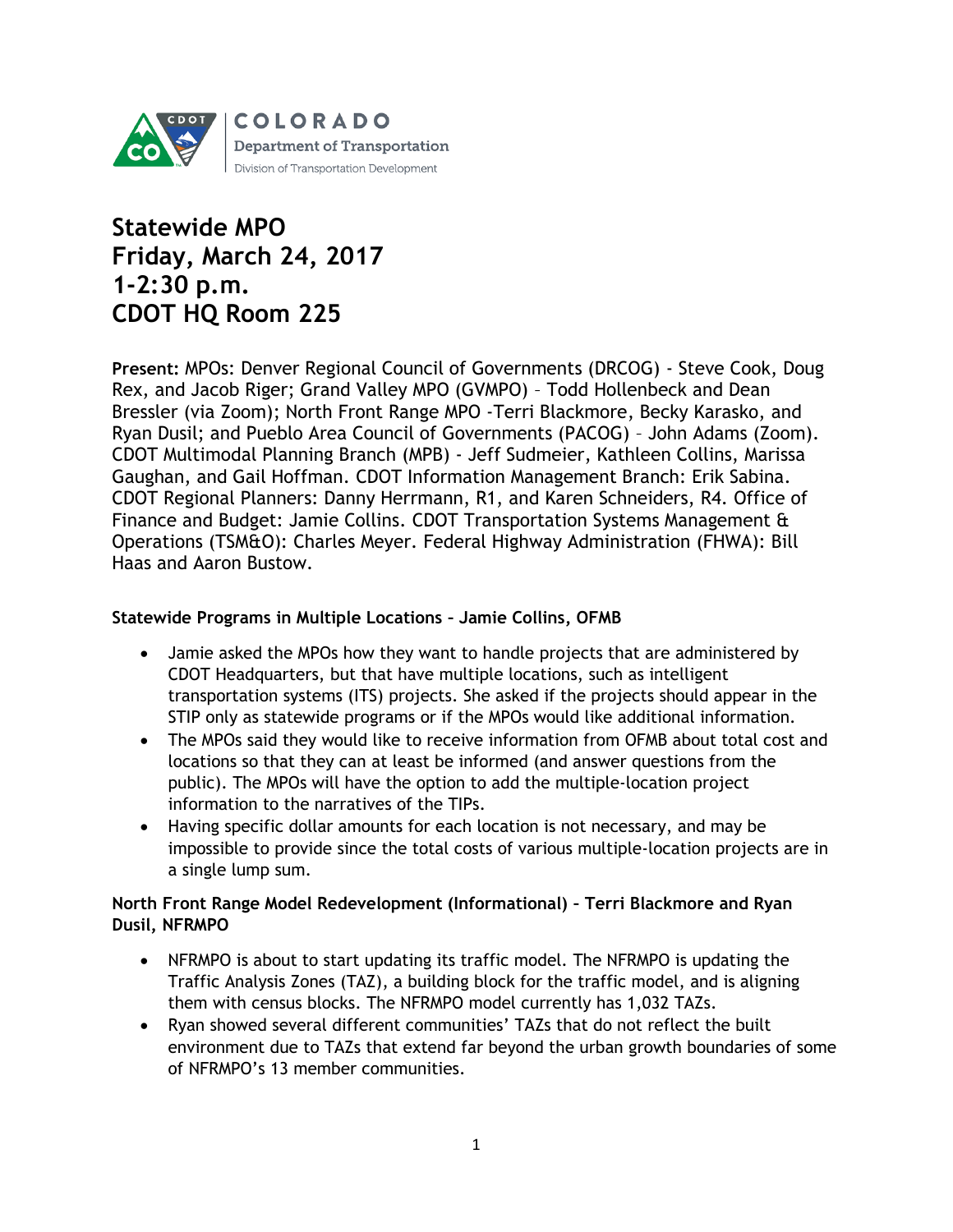

# **Statewide MPO Friday, March 24, 2017 1-2:30 p.m. CDOT HQ Room 225**

**Present:** MPOs: Denver Regional Council of Governments (DRCOG) - Steve Cook, Doug Rex, and Jacob Riger; Grand Valley MPO (GVMPO) – Todd Hollenbeck and Dean Bressler (via Zoom); North Front Range MPO -Terri Blackmore, Becky Karasko, and Ryan Dusil; and Pueblo Area Council of Governments (PACOG) – John Adams (Zoom). CDOT Multimodal Planning Branch (MPB) - Jeff Sudmeier, Kathleen Collins, Marissa Gaughan, and Gail Hoffman. CDOT Information Management Branch: Erik Sabina. CDOT Regional Planners: Danny Herrmann, R1, and Karen Schneiders, R4. Office of Finance and Budget: Jamie Collins. CDOT Transportation Systems Management & Operations (TSM&O): Charles Meyer. Federal Highway Administration (FHWA): Bill Haas and Aaron Bustow.

#### **Statewide Programs in Multiple Locations – Jamie Collins, OFMB**

- Jamie asked the MPOs how they want to handle projects that are administered by CDOT Headquarters, but that have multiple locations, such as intelligent transportation systems (ITS) projects. She asked if the projects should appear in the STIP only as statewide programs or if the MPOs would like additional information.
- The MPOs said they would like to receive information from OFMB about total cost and locations so that they can at least be informed (and answer questions from the public). The MPOs will have the option to add the multiple-location project information to the narratives of the TIPs.
- Having specific dollar amounts for each location is not necessary, and may be impossible to provide since the total costs of various multiple-location projects are in a single lump sum.

## **North Front Range Model Redevelopment (Informational) – Terri Blackmore and Ryan Dusil, NFRMPO**

- NFRMPO is about to start updating its traffic model. The NFRMPO is updating the Traffic Analysis Zones (TAZ), a building block for the traffic model, and is aligning them with census blocks. The NFRMPO model currently has 1,032 TAZs.
- Ryan showed several different communities' TAZs that do not reflect the built environment due to TAZs that extend far beyond the urban growth boundaries of some of NFRMPO's 13 member communities.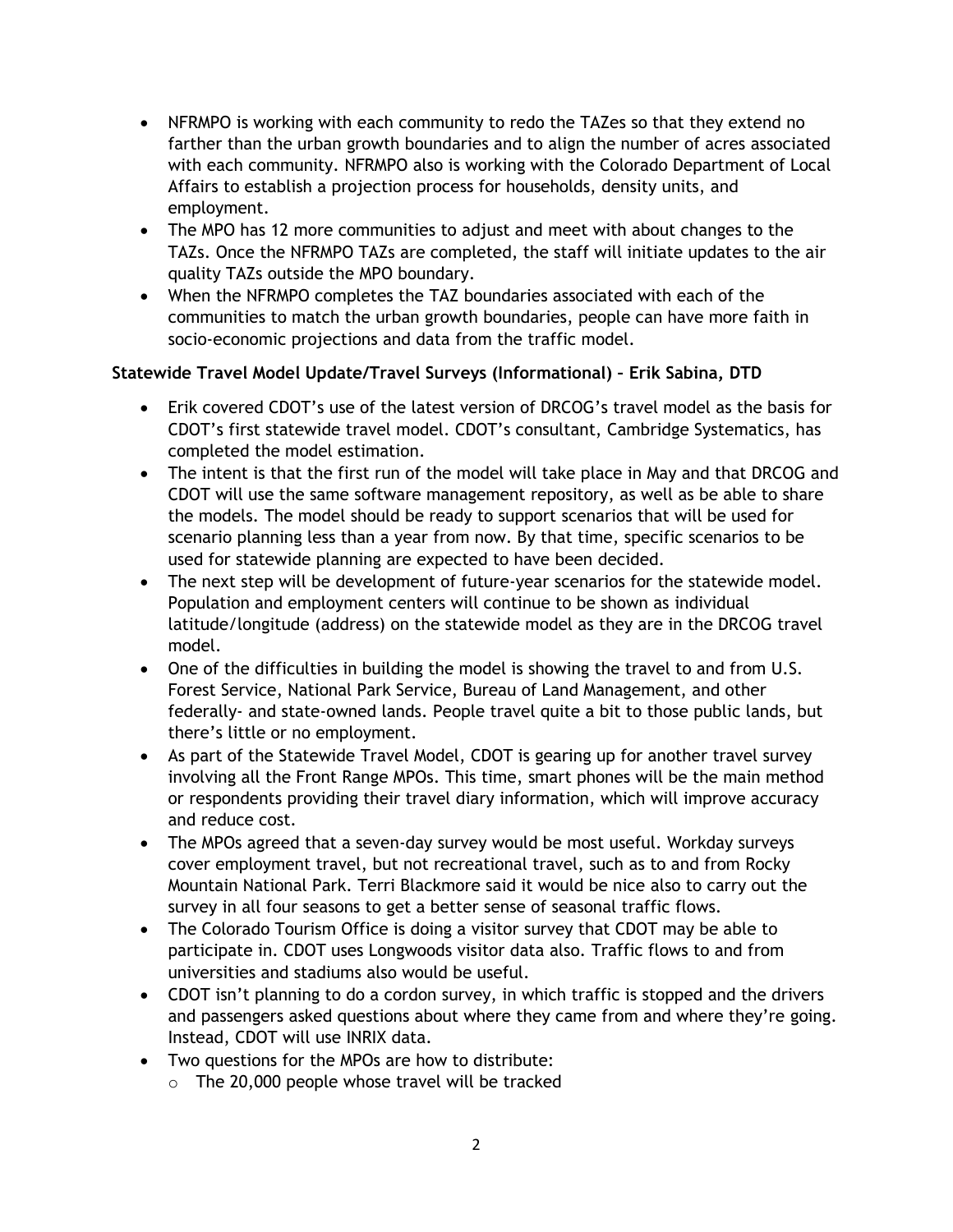- NFRMPO is working with each community to redo the TAZes so that they extend no farther than the urban growth boundaries and to align the number of acres associated with each community. NFRMPO also is working with the Colorado Department of Local Affairs to establish a projection process for households, density units, and employment.
- The MPO has 12 more communities to adjust and meet with about changes to the TAZs. Once the NFRMPO TAZs are completed, the staff will initiate updates to the air quality TAZs outside the MPO boundary.
- When the NFRMPO completes the TAZ boundaries associated with each of the communities to match the urban growth boundaries, people can have more faith in socio-economic projections and data from the traffic model.

# **Statewide Travel Model Update/Travel Surveys (Informational) – Erik Sabina, DTD**

- Erik covered CDOT's use of the latest version of DRCOG's travel model as the basis for CDOT's first statewide travel model. CDOT's consultant, Cambridge Systematics, has completed the model estimation.
- The intent is that the first run of the model will take place in May and that DRCOG and CDOT will use the same software management repository, as well as be able to share the models. The model should be ready to support scenarios that will be used for scenario planning less than a year from now. By that time, specific scenarios to be used for statewide planning are expected to have been decided.
- The next step will be development of future-year scenarios for the statewide model. Population and employment centers will continue to be shown as individual latitude/longitude (address) on the statewide model as they are in the DRCOG travel model.
- One of the difficulties in building the model is showing the travel to and from U.S. Forest Service, National Park Service, Bureau of Land Management, and other federally- and state-owned lands. People travel quite a bit to those public lands, but there's little or no employment.
- As part of the Statewide Travel Model, CDOT is gearing up for another travel survey involving all the Front Range MPOs. This time, smart phones will be the main method or respondents providing their travel diary information, which will improve accuracy and reduce cost.
- The MPOs agreed that a seven-day survey would be most useful. Workday surveys cover employment travel, but not recreational travel, such as to and from Rocky Mountain National Park. Terri Blackmore said it would be nice also to carry out the survey in all four seasons to get a better sense of seasonal traffic flows.
- The Colorado Tourism Office is doing a visitor survey that CDOT may be able to participate in. CDOT uses Longwoods visitor data also. Traffic flows to and from universities and stadiums also would be useful.
- CDOT isn't planning to do a cordon survey, in which traffic is stopped and the drivers and passengers asked questions about where they came from and where they're going. Instead, CDOT will use INRIX data.
- Two questions for the MPOs are how to distribute:
	- o The 20,000 people whose travel will be tracked